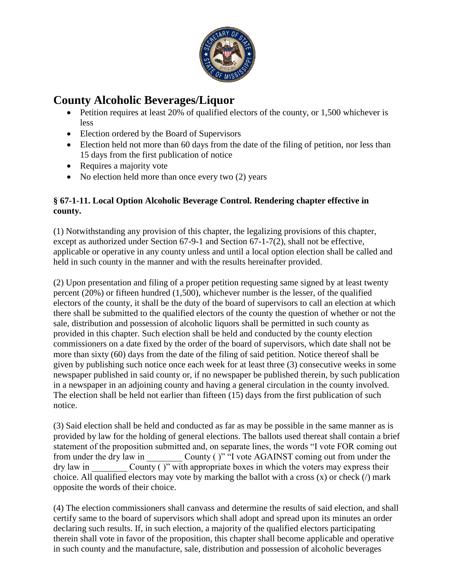

## **County Alcoholic Beverages/Liquor**

- Petition requires at least 20% of qualified electors of the county, or 1,500 whichever is less
- Election ordered by the Board of Supervisors
- Election held not more than 60 days from the date of the filing of petition, nor less than 15 days from the first publication of notice
- Requires a majority vote
- No election held more than once every two (2) years

## **§ 67-1-11. Local Option Alcoholic Beverage Control. Rendering chapter effective in county.**

(1) Notwithstanding any provision of this chapter, the legalizing provisions of this chapter, except as authorized under Section 67-9-1 and Section 67-1-7(2), shall not be effective, applicable or operative in any county unless and until a local option election shall be called and held in such county in the manner and with the results hereinafter provided.

(2) Upon presentation and filing of a proper petition requesting same signed by at least twenty percent (20%) or fifteen hundred (1,500), whichever number is the lesser, of the qualified electors of the county, it shall be the duty of the board of supervisors to call an election at which there shall be submitted to the qualified electors of the county the question of whether or not the sale, distribution and possession of alcoholic liquors shall be permitted in such county as provided in this chapter. Such election shall be held and conducted by the county election commissioners on a date fixed by the order of the board of supervisors, which date shall not be more than sixty (60) days from the date of the filing of said petition. Notice thereof shall be given by publishing such notice once each week for at least three (3) consecutive weeks in some newspaper published in said county or, if no newspaper be published therein, by such publication in a newspaper in an adjoining county and having a general circulation in the county involved. The election shall be held not earlier than fifteen (15) days from the first publication of such notice.

(3) Said election shall be held and conducted as far as may be possible in the same manner as is provided by law for the holding of general elections. The ballots used thereat shall contain a brief statement of the proposition submitted and, on separate lines, the words "I vote FOR coming out from under the dry law in County ( )" "I vote AGAINST coming out from under the  $\frac{d}{dx}$  dry law in  $\frac{d}{dx}$  County ( )" with appropriate boxes in which the voters may express their choice. All qualified electors may vote by marking the ballot with a cross (x) or check (/) mark opposite the words of their choice.

(4) The election commissioners shall canvass and determine the results of said election, and shall certify same to the board of supervisors which shall adopt and spread upon its minutes an order declaring such results. If, in such election, a majority of the qualified electors participating therein shall vote in favor of the proposition, this chapter shall become applicable and operative in such county and the manufacture, sale, distribution and possession of alcoholic beverages